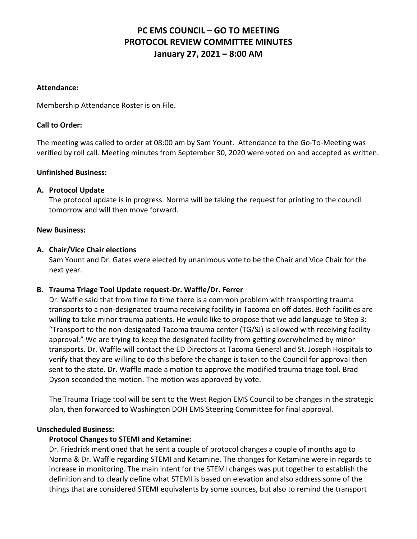# **PC EMS COUNCIL – GO TO MEETING PROTOCOL REVIEW COMMITTEE MINUTES January 27, 2021 – 8:00 AM**

#### **Attendance:**

Membership Attendance Roster is on File.

### **Call to Order:**

The meeting was called to order at 08:00 am by Sam Yount. Attendance to the Go-To-Meeting was verified by roll call. Meeting minutes from September 30, 2020 were voted on and accepted as written.

#### **Unfinished Business:**

# **A. Protocol Update**

The protocol update is in progress. Norma will be taking the request for printing to the council tomorrow and will then move forward.

#### **New Business:**

#### **A. Chair/Vice Chair elections**

Sam Yount and Dr. Gates were elected by unanimous vote to be the Chair and Vice Chair for the next year.

# **B. Trauma Triage Tool Update request-Dr. Waffle/Dr. Ferrer**

Dr. Waffle said that from time to time there is a common problem with transporting trauma transports to a non-designated trauma receiving facility in Tacoma on off dates. Both facilities are willing to take minor trauma patients. He would like to propose that we add language to Step 3: "Transport to the non-designated Tacoma trauma center (TG/SJ) is allowed with receiving facility approval." We are trying to keep the designated facility from getting overwhelmed by minor transports. Dr. Waffle will contact the ED Directors at Tacoma General and St. Joseph Hospitals to verify that they are willing to do this before the change is taken to the Council for approval then sent to the state. Dr. Waffle made a motion to approve the modified trauma triage tool. Brad Dyson seconded the motion. The motion was approved by vote.

The Trauma Triage tool will be sent to the West Region EMS Council to be changes in the strategic plan, then forwarded to Washington DOH EMS Steering Committee for final approval.

#### **Unscheduled Business:**

# **Protocol Changes to STEMI and Ketamine:**

Dr. Friedrick mentioned that he sent a couple of protocol changes a couple of months ago to Norma & Dr. Waffle regarding STEMI and Ketamine. The changes for Ketamine were in regards to increase in monitoring. The main intent for the STEMI changes was put together to establish the definition and to clearly define what STEMI is based on elevation and also address some of the things that are considered STEMI equivalents by some sources, but also to remind the transport